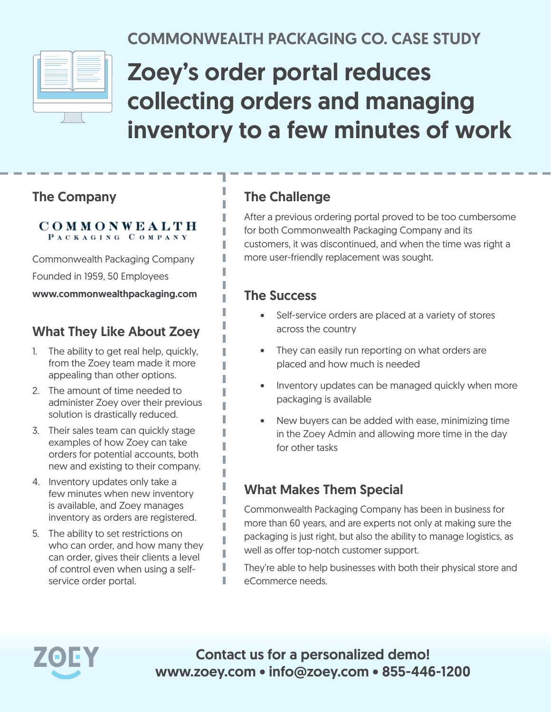

## COMMONWEALTH PACKAGING CO. CASE STUDY

# Zoey's order portal reduces collecting orders and managing inventory to a few minutes of work

#### The Company

#### COMMONWEALTH PACKAGING COMPANY

Commonwealth Packaging Company Founded in 1959, 50 Employees www.commonwealthpackaging.com

#### What They Like About Zoey

- 1. The ability to get real help, quickly, from the Zoey team made it more appealing than other options.
- 2. The amount of time needed to administer Zoey over their previous solution is drastically reduced.
- 3. Their sales team can quickly stage examples of how Zoey can take orders for potential accounts, both new and existing to their company.
- 4. Inventory updates only take a few minutes when new inventory is available, and Zoey manages inventory as orders are registered.
- 5. The ability to set restrictions on who can order, and how many they can order, gives their clients a level of control even when using a selfservice order portal.

#### The Challenge

After a previous ordering portal proved to be too cumbersome for both Commonwealth Packaging Company and its customers, it was discontinued, and when the time was right a more user-friendly replacement was sought.

#### The Success

I

I

ı T

- Self-service orders are placed at a variety of stores across the country
- They can easily run reporting on what orders are placed and how much is needed
- Inventory updates can be managed quickly when more packaging is available
- New buyers can be added with ease, minimizing time in the Zoey Admin and allowing more time in the day for other tasks

#### What Makes Them Special

Commonwealth Packaging Company has been in business for more than 60 years, and are experts not only at making sure the packaging is just right, but also the ability to manage logistics, as well as offer top-notch customer support.

They're able to help businesses with both their physical store and eCommerce needs.



Contact us for a personalized demo! www.zoey.com • info@zoey.com • 855-446-1200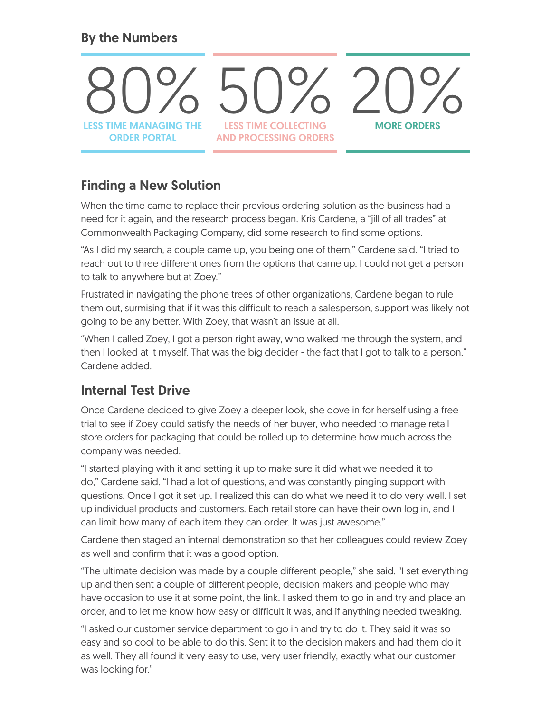#### By the Numbers



#### Finding a New Solution

When the time came to replace their previous ordering solution as the business had a need for it again, and the research process began. Kris Cardene, a "jill of all trades" at Commonwealth Packaging Company, did some research to find some options.

"As I did my search, a couple came up, you being one of them," Cardene said. "I tried to reach out to three different ones from the options that came up. I could not get a person to talk to anywhere but at Zoey."

Frustrated in navigating the phone trees of other organizations, Cardene began to rule them out, surmising that if it was this difficult to reach a salesperson, support was likely not going to be any better. With Zoey, that wasn't an issue at all.

"When I called Zoey, I got a person right away, who walked me through the system, and then I looked at it myself. That was the big decider - the fact that I got to talk to a person," Cardene added.

#### Internal Test Drive

Once Cardene decided to give Zoey a deeper look, she dove in for herself using a free trial to see if Zoey could satisfy the needs of her buyer, who needed to manage retail store orders for packaging that could be rolled up to determine how much across the company was needed.

"I started playing with it and setting it up to make sure it did what we needed it to do," Cardene said. "I had a lot of questions, and was constantly pinging support with questions. Once I got it set up. I realized this can do what we need it to do very well. I set up individual products and customers. Each retail store can have their own log in, and I can limit how many of each item they can order. It was just awesome."

Cardene then staged an internal demonstration so that her colleagues could review Zoey as well and confirm that it was a good option.

"The ultimate decision was made by a couple different people," she said. "I set everything up and then sent a couple of different people, decision makers and people who may have occasion to use it at some point, the link. I asked them to go in and try and place an order, and to let me know how easy or difficult it was, and if anything needed tweaking.

"I asked our customer service department to go in and try to do it. They said it was so easy and so cool to be able to do this. Sent it to the decision makers and had them do it as well. They all found it very easy to use, very user friendly, exactly what our customer was looking for."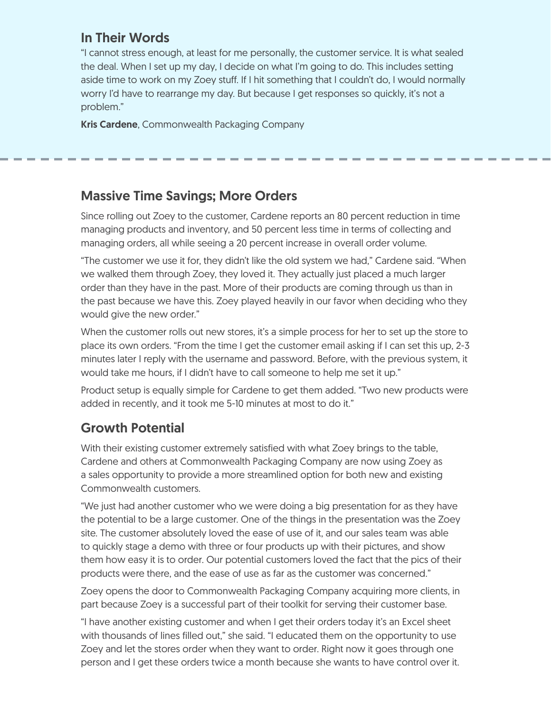#### In Their Words

"I cannot stress enough, at least for me personally, the customer service. It is what sealed the deal. When I set up my day, I decide on what I'm going to do. This includes setting aside time to work on my Zoey stuff. If I hit something that I couldn't do, I would normally worry I'd have to rearrange my day. But because I get responses so quickly, it's not a problem."

Kris Cardene, Commonwealth Packaging Company

#### Massive Time Savings; More Orders

Since rolling out Zoey to the customer, Cardene reports an 80 percent reduction in time managing products and inventory, and 50 percent less time in terms of collecting and managing orders, all while seeing a 20 percent increase in overall order volume.

"The customer we use it for, they didn't like the old system we had," Cardene said. "When we walked them through Zoey, they loved it. They actually just placed a much larger order than they have in the past. More of their products are coming through us than in the past because we have this. Zoey played heavily in our favor when deciding who they would give the new order."

When the customer rolls out new stores, it's a simple process for her to set up the store to place its own orders. "From the time I get the customer email asking if I can set this up, 2-3 minutes later I reply with the username and password. Before, with the previous system, it would take me hours, if I didn't have to call someone to help me set it up."

Product setup is equally simple for Cardene to get them added. "Two new products were added in recently, and it took me 5-10 minutes at most to do it."

#### Growth Potential

With their existing customer extremely satisfied with what Zoey brings to the table, Cardene and others at Commonwealth Packaging Company are now using Zoey as a sales opportunity to provide a more streamlined option for both new and existing Commonwealth customers.

"We just had another customer who we were doing a big presentation for as they have the potential to be a large customer. One of the things in the presentation was the Zoey site. The customer absolutely loved the ease of use of it, and our sales team was able to quickly stage a demo with three or four products up with their pictures, and show them how easy it is to order. Our potential customers loved the fact that the pics of their products were there, and the ease of use as far as the customer was concerned."

Zoey opens the door to Commonwealth Packaging Company acquiring more clients, in part because Zoey is a successful part of their toolkit for serving their customer base.

"I have another existing customer and when I get their orders today it's an Excel sheet with thousands of lines filled out," she said. "I educated them on the opportunity to use Zoey and let the stores order when they want to order. Right now it goes through one person and I get these orders twice a month because she wants to have control over it.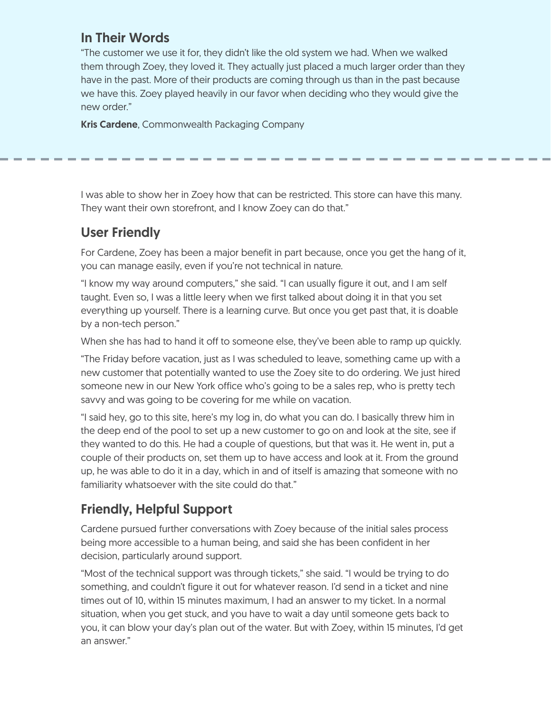#### In Their Words

"The customer we use it for, they didn't like the old system we had. When we walked them through Zoey, they loved it. They actually just placed a much larger order than they have in the past. More of their products are coming through us than in the past because we have this. Zoey played heavily in our favor when deciding who they would give the new order."

Kris Cardene, Commonwealth Packaging Company

I was able to show her in Zoey how that can be restricted. This store can have this many. They want their own storefront, and I know Zoey can do that."

#### User Friendly

For Cardene, Zoey has been a major benefit in part because, once you get the hang of it, you can manage easily, even if you're not technical in nature.

"I know my way around computers," she said. "I can usually figure it out, and I am self taught. Even so, I was a little leery when we first talked about doing it in that you set everything up yourself. There is a learning curve. But once you get past that, it is doable by a non-tech person."

When she has had to hand it off to someone else, they've been able to ramp up quickly.

"The Friday before vacation, just as I was scheduled to leave, something came up with a new customer that potentially wanted to use the Zoey site to do ordering. We just hired someone new in our New York office who's going to be a sales rep, who is pretty tech savvy and was going to be covering for me while on vacation.

"I said hey, go to this site, here's my log in, do what you can do. I basically threw him in the deep end of the pool to set up a new customer to go on and look at the site, see if they wanted to do this. He had a couple of questions, but that was it. He went in, put a couple of their products on, set them up to have access and look at it. From the ground up, he was able to do it in a day, which in and of itself is amazing that someone with no familiarity whatsoever with the site could do that."

### Friendly, Helpful Support

Cardene pursued further conversations with Zoey because of the initial sales process being more accessible to a human being, and said she has been confident in her decision, particularly around support.

"Most of the technical support was through tickets," she said. "I would be trying to do something, and couldn't figure it out for whatever reason. I'd send in a ticket and nine times out of 10, within 15 minutes maximum, I had an answer to my ticket. In a normal situation, when you get stuck, and you have to wait a day until someone gets back to you, it can blow your day's plan out of the water. But with Zoey, within 15 minutes, I'd get an answer."